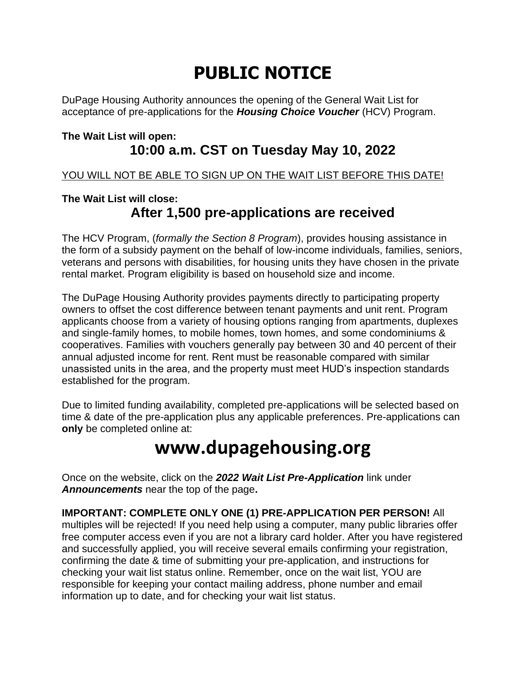# **PUBLIC NOTICE**

DuPage Housing Authority announces the opening of the General Wait List for acceptance of pre-applications for the *Housing Choice Voucher* (HCV) Program.

#### **The Wait List will open: 10:00 a.m. CST on Tuesday May 10, 2022**

YOU WILL NOT BE ABLE TO SIGN UP ON THE WAIT LIST BEFORE THIS DATE!

### **The Wait List will close: After 1,500 pre-applications are received**

The HCV Program, (*formally the Section 8 Program*), provides housing assistance in the form of a subsidy payment on the behalf of low-income individuals, families, seniors, veterans and persons with disabilities, for housing units they have chosen in the private rental market. Program eligibility is based on household size and income.

The DuPage Housing Authority provides payments directly to participating property owners to offset the cost difference between tenant payments and unit rent. Program applicants choose from a variety of housing options ranging from apartments, duplexes and single-family homes, to mobile homes, town homes, and some condominiums & cooperatives. Families with vouchers generally pay between 30 and 40 percent of their annual adjusted income for rent. Rent must be reasonable compared with similar unassisted units in the area, and the property must meet HUD's inspection standards established for the program.

Due to limited funding availability, completed pre-applications will be selected based on time & date of the pre-application plus any applicable preferences. Pre-applications can **only** be completed online at:

## **www.dupagehousing.org**

Once on the website, click on the *2022 Wait List Pre-Application* link under *Announcements* near the top of the page**.**

**IMPORTANT: COMPLETE ONLY ONE (1) PRE-APPLICATION PER PERSON!** All multiples will be rejected! If you need help using a computer, many public libraries offer free computer access even if you are not a library card holder. After you have registered and successfully applied, you will receive several emails confirming your registration, confirming the date & time of submitting your pre-application, and instructions for checking your wait list status online. Remember, once on the wait list, YOU are responsible for keeping your contact mailing address, phone number and email information up to date, and for checking your wait list status.